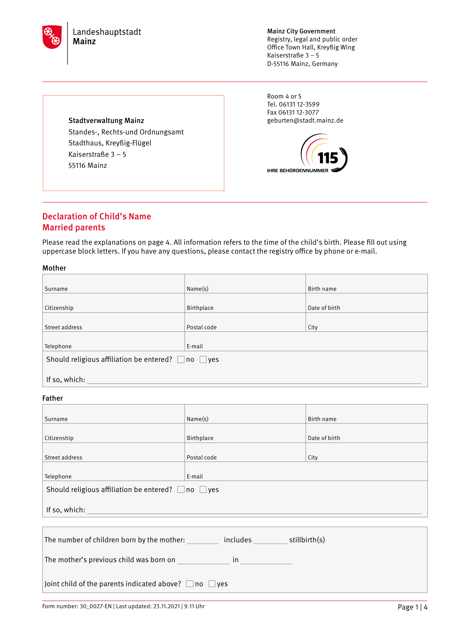

Mainz City Government Registry, legal and public order Office Town Hall, Kreyßig Wing Kaiserstraße 3 – 5 D-55116 Mainz, Germany

Room 4 or 5 Tel. 06131 12-3599 Fax 06131 12-3077 geburten@stadt.mainz.de



## Stadtverwaltung Mainz Standes-, Rechts-und Ordnungsamt Stadthaus, Kreyßig-Flügel Kaiserstraße 3 – 5

55116 Mainz

# Declaration of Child's Name Married parents

Please read the explanations on page 4. All information refers to the time of the child's birth. Please fill out using uppercase block letters. If you have any questions, please contact the registry office by phone or e-mail.

## Mother

| Surname                                                       | Name(s)     | Birth name    |  |
|---------------------------------------------------------------|-------------|---------------|--|
|                                                               |             |               |  |
| Citizenship                                                   | Birthplace  | Date of birth |  |
|                                                               |             |               |  |
| Street address                                                | Postal code | City          |  |
|                                                               |             |               |  |
| Telephone                                                     | E-mail      |               |  |
| Should religious affiliation be entered? $\Box$ no $\Box$ yes |             |               |  |
|                                                               |             |               |  |
| If so, which:                                                 |             |               |  |
|                                                               |             |               |  |

## Father

| Surname                                                                                                                                                                                                                                                                                                                                                      | Name(s)     | Birth name    |  |
|--------------------------------------------------------------------------------------------------------------------------------------------------------------------------------------------------------------------------------------------------------------------------------------------------------------------------------------------------------------|-------------|---------------|--|
|                                                                                                                                                                                                                                                                                                                                                              |             |               |  |
| Citizenship                                                                                                                                                                                                                                                                                                                                                  | Birthplace  | Date of birth |  |
| Street address                                                                                                                                                                                                                                                                                                                                               | Postal code | City          |  |
| Telephone                                                                                                                                                                                                                                                                                                                                                    | E-mail      |               |  |
| Should religious affiliation be entered? $\Box$ no $\Box$ yes                                                                                                                                                                                                                                                                                                |             |               |  |
| If so, which:                                                                                                                                                                                                                                                                                                                                                |             |               |  |
|                                                                                                                                                                                                                                                                                                                                                              |             |               |  |
| The number of children born by the mother: includes stillbirth(s)                                                                                                                                                                                                                                                                                            |             |               |  |
| The mother's previous child was born on<br>$\mathsf{in}$ and $\mathsf{in}$ and $\mathsf{in}$ and $\mathsf{in}$ and $\mathsf{in}$ and $\mathsf{in}$ and $\mathsf{in}$ and $\mathsf{in}$ and $\mathsf{in}$ and $\mathsf{in}$ and $\mathsf{in}$ and $\mathsf{in}$ and $\mathsf{in}$ and $\mathsf{in}$ and $\mathsf{in}$ and $\mathsf{in}$ and $\mathsf{in}$ and |             |               |  |
| Joint child of the parents indicated above? $\Box$ no $\Box$ yes                                                                                                                                                                                                                                                                                             |             |               |  |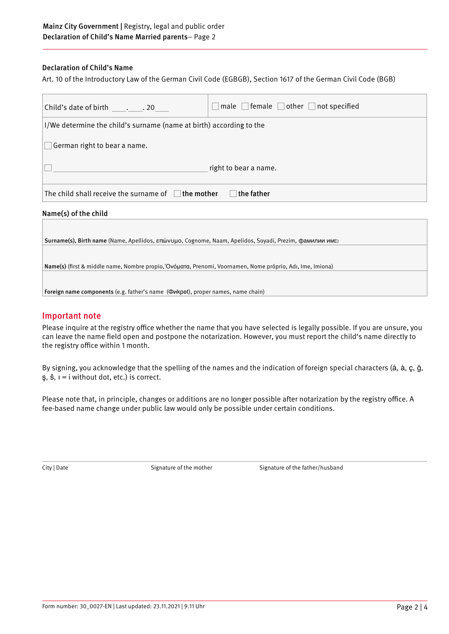## Declaration of Child's Name

Art. 10 of the Introductory Law of the German Civil Code (EGBGB), Section 1617 of the German Civil Code (BGB)

| Child's date of birth 20                                               | $\lceil$ male $\lceil$ female $\lceil$ other $\lceil$ not specified |  |
|------------------------------------------------------------------------|---------------------------------------------------------------------|--|
| I/We determine the child's surname (name at birth) according to the    |                                                                     |  |
| German right to bear a name.                                           |                                                                     |  |
| right to bear a name.                                                  |                                                                     |  |
| The child shall receive the surname of $\Box$ the mother<br>the father |                                                                     |  |
|                                                                        |                                                                     |  |

### Name(s) of the child

Surname(s), Birth name (Name, Apellidos, επώνυμο, Cognome, Naam, Apelidos, Soyadi, Prezim, фамилии имЕ) Name(s) (first & middle name, Nombre propio,'Ονóματα, Prenomi, Voornamen, Nome próprio, Adı, Ime, Imiona) Foreign name components (e.g. father's name (Фиkpet), proper names, name chain)

## Important note

Please inquire at the registry office whether the name that you have selected is legally possible. If you are unsure, you can leave the name field open and postpone the notarization. However, you must report the child's name directly to the registry office within 1 month.

By signing, you acknowledge that the spelling of the names and the indication of foreign special characters (á, à, ç, ğ, ş, š, ı = i without dot, etc.) is correct.

Please note that, in principle, changes or additions are no longer possible after notarization by the registry office. A fee-based name change under public law would only be possible under certain conditions.

City | Date Signature of the mother Signature of the father/husband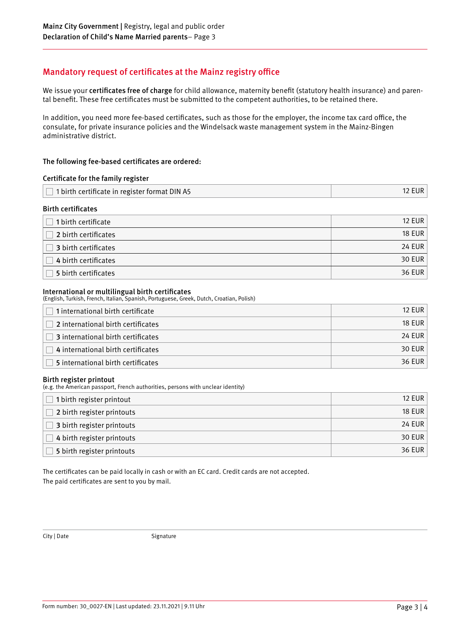# Mandatory request of certificates at the Mainz registry office

We issue your certificates free of charge for child allowance, maternity benefit (statutory health insurance) and parental benefit. These free certificates must be submitted to the competent authorities, to be retained there.

In addition, you need more fee-based certificates, such as those for the employer, the income tax card office, the consulate, for private insurance policies and the Windelsack waste management system in the Mainz-Bingen administrative district.

## The following fee-based certificates are ordered:

| Certificate for the family register                  |               |
|------------------------------------------------------|---------------|
| $\Box$ 1 birth certificate in register format DIN A5 | <b>12 EUR</b> |
| <b>Birth certificates</b>                            |               |

| 1 birth certificate  | <b>12 EUR</b> |
|----------------------|---------------|
| 2 birth certificates | 18 EUR        |
| 3 birth certificates | 24 EUR        |
| 4 birth certificates | 30 EUR        |
| 5 birth certificates | 36 EUR        |

### International or multilingual birth certificates

(English, Turkish, French, Italian, Spanish, Portuguese, Greek, Dutch, Croatian, Polish)

| $\Box$ 1 international birth certificate | 12 FUR        |
|------------------------------------------|---------------|
| 2 international birth certificates       | <b>18 EUR</b> |
| 3 international birth certificates       | <b>24 EUR</b> |
| 4 international birth certificates       | 30 EUR        |
| 5 international birth certificates       | 36 EUR        |

### Birth register printout

(e.g. the American passport, French authorities, persons with unclear identity)

| 1 birth register printout  | <b>12 EUR</b> |
|----------------------------|---------------|
| 2 birth register printouts | <b>18 EUR</b> |
| 3 birth register printouts | 24 EUR        |
| 4 birth register printouts | 30 EUR        |
| 5 birth register printouts | <b>36 EUR</b> |

The certificates can be paid locally in cash or with an EC card. Credit cards are not accepted. The paid certificates are sent to you by mail.

City | Date Signature